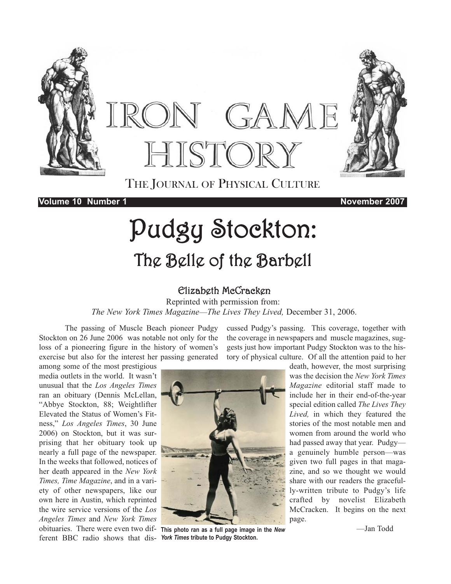

**Volume 10 Number 1 November 2007**

# Pudgy Stockton: The Belle of the Barbell

## Elizabeth McCracken

Reprinted with permission from: *The New York Times Magazine*—*The Lives They Lived,* December 31, 2006.

The passing of Muscle Beach pioneer Pudgy Stockton on 26 June 2006 was notable not only for the loss of a pioneering figure in the history of women's exercise but also for the interest her passing generated

among some of the most prestigious media outlets in the world. It wasn't unusual that the *Los Angeles Times* ran an obituary (Dennis McLellan, "Abbye Stockton, 88; Weightlifter Elevated the Status of Women's Fitness," *Los Angeles Times*, 30 June 2006) on Stockton, but it was surprising that her obituary took up nearly a full page of the newspaper. In the weeks that followed, notices of her death appeared in the *New York Times, Time Magazine*, and in a variety of other newspapers, like our own here in Austin, which reprinted the wire service versions of the *Los Angeles Times* and *New York Times* obituaries. There were even two different BBC radio shows that dis-*York Times* **tribute to Pudgy Stockton.**

cussed Pudgy's passing. This coverage, together with the coverage in newspapers and muscle magazines, suggests just how important Pudgy Stockton was to the history of physical culture. Of all the attention paid to her



**This photo ran as a full page image in the** *New*

death, however, the most surprising was the decision the *New York Times Magazine* editorial staff made to include her in their end-of-the-year special edition called *The Lives They Lived,* in which they featured the stories of the most notable men and women from around the world who had passed away that year. Pudgy a genuinely humble person—was given two full pages in that magazine, and so we thought we would share with our readers the gracefully-written tribute to Pudgy's life crafted by novelist Elizabeth McCracken. It begins on the next page.

—Jan Todd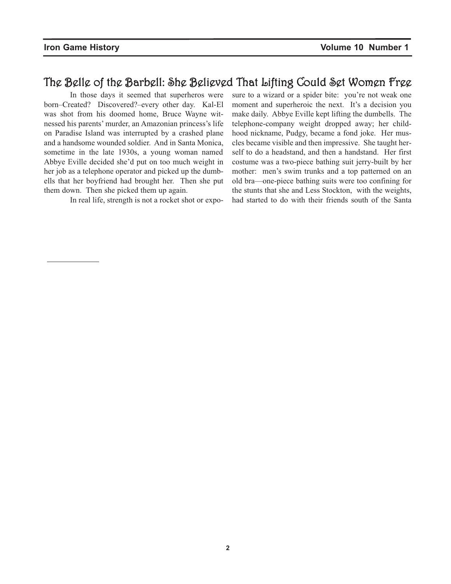# The Belle of the Barbell: She Believed That Lifting Could Set Women Free

In those days it seemed that superheros were born–Created? Discovered?–every other day. Kal-El was shot from his doomed home, Bruce Wayne witnessed his parents' murder, an Amazonian princess's life on Paradise Island was interrupted by a crashed plane and a handsome wounded soldier. And in Santa Monica, sometime in the late 1930s, a young woman named Abbye Eville decided she'd put on too much weight in her job as a telephone operator and picked up the dumbells that her boyfriend had brought her. Then she put them down. Then she picked them up again.

In real life, strength is not a rocket shot or expo-

sure to a wizard or a spider bite: you're not weak one moment and superheroic the next. It's a decision you make daily. Abbye Eville kept lifting the dumbells. The telephone-company weight dropped away; her childhood nickname, Pudgy, became a fond joke. Her muscles became visible and then impressive. She taught herself to do a headstand, and then a handstand. Her first costume was a two-piece bathing suit jerry-built by her mother: men's swim trunks and a top patterned on an old bra—one-piece bathing suits were too confining for the stunts that she and Less Stockton, with the weights, had started to do with their friends south of the Santa